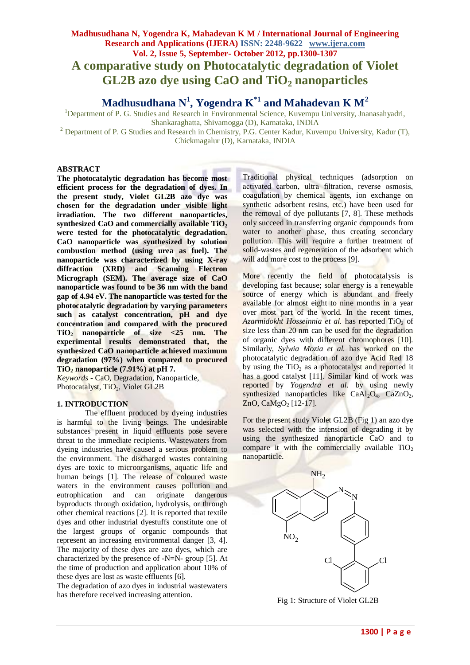# **Madhusudhana N, Yogendra K, Mahadevan K M / International Journal of Engineering Research and Applications (IJERA) ISSN: 2248-9622 www.ijera.com Vol. 2, Issue 5, September- October 2012, pp.1300-1307 A comparative study on Photocatalytic degradation of Violet GL2B azo dye using CaO and TiO<sup>2</sup> nanoparticles**

**Madhusudhana N<sup>1</sup> , Yogendra K\*1 and Mahadevan K M<sup>2</sup>**

<sup>1</sup>Department of P. G. Studies and Research in Environmental Science, Kuvempu University, Jnanasahyadri, Shankaraghatta, Shivamogga (D), Karnataka, INDIA

<sup>2</sup> Department of P. G Studies and Research in Chemistry, P.G. Center Kadur, Kuvempu University, Kadur (T), Chickmagalur (D), Karnataka, INDIA

### **ABSTRACT**

**The photocatalytic degradation has become most efficient process for the degradation of dyes. In the present study, Violet GL2B azo dye was chosen for the degradation under visible light irradiation. The two different nanoparticles, synthesized CaO and commercially available TiO<sup>2</sup> were tested for the photocatalytic degradation. CaO nanoparticle was synthesized by solution combustion method (using urea as fuel). The nanoparticle was characterized by using X-ray diffraction (XRD) and Scanning Electron Micrograph (SEM). The average size of CaO nanoparticle was found to be 36 nm with the band gap of 4.94 eV. The nanoparticle was tested for the photocatalytic degradation by varying parameters such as catalyst concentration, pH and dye concentration and compared with the procured TiO<sup>2</sup> nanoparticle of size <25 nm. The experimental results demonstrated that, the synthesized CaO nanoparticle achieved maximum degradation (97%) when compared to procured TiO<sup>2</sup> nanoparticle (7.91%) at pH 7.** 

*Keywords* **-** CaO, Degradation, Nanoparticle, Photocatalyst, TiO<sub>2</sub>, Violet GL2B

## **1. INTRODUCTION**

The effluent produced by dyeing industries is harmful to the living beings. The undesirable substances present in liquid effluents pose severe threat to the immediate recipients. Wastewaters from dyeing industries have caused a serious problem to the environment. The discharged wastes containing dyes are toxic to microorganisms, aquatic life and human beings [1]. The release of coloured waste waters in the environment causes pollution and eutrophication and can originate dangerous byproducts through oxidation, hydrolysis, or through other chemical reactions [2]. It is reported that textile dyes and other industrial dyestuffs constitute one of the largest groups of organic compounds that represent an increasing environmental danger [3, 4]. The majority of these dyes are azo dyes, which are characterized by the presence of -N=N- group [5]. At the time of production and application about 10% of these dyes are lost as waste effluents [6].

The degradation of azo dyes in industrial wastewaters has therefore received increasing attention.

Traditional physical techniques (adsorption on activated carbon, ultra filtration, reverse osmosis, coagulation by chemical agents, ion exchange on synthetic adsorbent resins, etc.) have been used for the removal of dye pollutants [7, 8]. These methods only succeed in transferring organic compounds from water to another phase, thus creating secondary pollution. This will require a further treatment of solid-wastes and regeneration of the adsorbent which will add more cost to the process [9].

More recently the field of photocatalysis is developing fast because; solar energy is a renewable source of energy which is abundant and freely available for almost eight to nine months in a year over most part of the world. In the recent times, *Azarmidokht Hosseinnia et al.* has reported TiO<sub>2</sub> of size less than 20 nm can be used for the degradation of organic dyes with different chromophores [10]. Similarly, *Sylwia Mozia et al.* has worked on the photocatalytic degradation of azo dye Acid Red 18 by using the  $TiO<sub>2</sub>$  as a photocatalyst and reported it has a good catalyst [11]. Similar kind of work was reported by *Yogendra et al.* by using newly synthesized nanoparticles like  $CaAl<sub>2</sub>O<sub>4</sub>$ ,  $CaZnO<sub>2</sub>$ , ZnO, CaMgO<sub>2</sub> [12-17].

For the present study Violet GL2B (Fig 1) an azo dye was selected with the intension of degrading it by using the synthesized nanoparticle CaO and to compare it with the commercially available  $TiO<sub>2</sub>$ nanoparticle.



Fig 1: Structure of Violet GL2B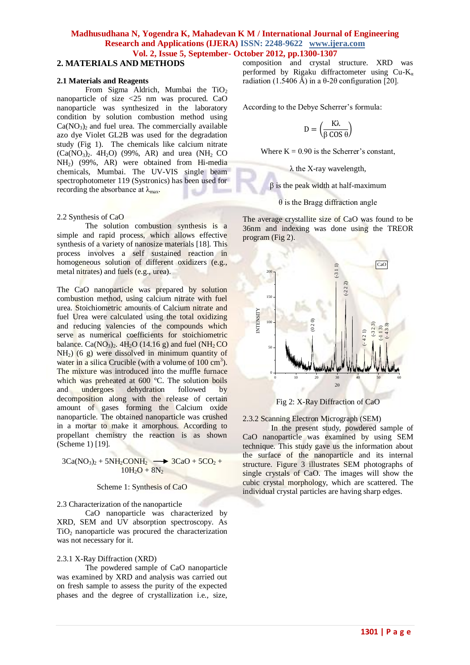# **2. MATERIALS AND METHODS**

#### **2.1 Materials and Reagents**

From Sigma Aldrich, Mumbai the  $TiO<sub>2</sub>$ nanoparticle of size <25 nm was procured. CaO nanoparticle was synthesized in the laboratory condition by solution combustion method using  $Ca(NO<sub>3</sub>)<sub>2</sub>$  and fuel urea. The commercially available azo dye Violet GL2B was used for the degradation study (Fig 1). The chemicals like calcium nitrate  $(Ca(NO<sub>3</sub>)<sub>2</sub>$ . 4H<sub>2</sub>O) (99%, AR) and urea (NH<sub>2</sub> CO) NH2) (99%, AR) were obtained from Hi-media chemicals, Mumbai. The UV-VIS single beam spectrophotometer 119 (Systronics) has been used for recording the absorbance at  $\lambda_{\text{max}}$ .

#### 2.2 Synthesis of CaO

The solution combustion synthesis is a simple and rapid process, which allows effective synthesis of a variety of nanosize materials [18]. This process involves a self sustained reaction in homogeneous solution of different oxidizers (e.g., metal nitrates) and fuels (e.g., urea).

The CaO nanoparticle was prepared by solution combustion method, using calcium nitrate with fuel urea. Stoichiometric amounts of Calcium nitrate and fuel Urea were calculated using the total oxidizing and reducing valencies of the compounds which serve as numerical coefficients for stoichiometric balance. Ca( $NO_3$ ), 4H<sub>2</sub>O (14.16 g) and fuel ( $NH_2$ CO)  $NH<sub>2</sub>$ ) (6 g) were dissolved in minimum quantity of water in a silica Crucible (with a volume of  $100 \text{ cm}^3$ ). The mixture was introduced into the muffle furnace which was preheated at 600 °C. The solution boils and undergoes dehydration followed by decomposition along with the release of certain amount of gases forming the Calcium oxide nanoparticle. The obtained nanoparticle was crushed in a mortar to make it amorphous. According to propellant chemistry the reaction is as shown (Scheme 1) [19].

 $3Ca(NO<sub>3</sub>)<sub>2</sub> + 5NH<sub>2</sub>CONH<sub>2</sub> \longrightarrow 3CaO + 5CO<sub>2</sub> +$  $10H_2O + 8N_2$ 

#### Scheme 1: Synthesis of CaO

2.3 Characterization of the nanoparticle

CaO nanoparticle was characterized by XRD, SEM and UV absorption spectroscopy. As  $TiO<sub>2</sub>$  nanoparticle was procured the characterization was not necessary for it.

## 2.3.1 X-Ray Diffraction (XRD)

The powdered sample of CaO nanoparticle was examined by XRD and analysis was carried out on fresh sample to assess the purity of the expected phases and the degree of crystallization i.e., size, composition and crystal structure. XRD was performed by Rigaku diffractometer using  $Cu-K_a$ radiation (1.5406 Å) in a θ-2θ configuration [20].

According to the Debye Scherrer's formula:

$$
D = \left(\frac{K\lambda}{\beta\cos\theta}\right)
$$

Where  $K = 0.90$  is the Scherrer's constant,

λ the X-ray wavelength,

 $β$  is the peak width at half-maximum

 $\theta$  is the Bragg diffraction angle

The average crystallite size of CaO was found to be 36nm and indexing was done using the TREOR program (Fig 2).



Fig 2: X-Ray Diffraction of CaO

2.3.2 Scanning Electron Micrograph (SEM)

In the present study, powdered sample of CaO nanoparticle was examined by using SEM technique. This study gave us the information about the surface of the nanoparticle and its internal structure. Figure 3 illustrates SEM photographs of single crystals of CaO. The images will show the cubic crystal morphology, which are scattered. The individual crystal particles are having sharp edges.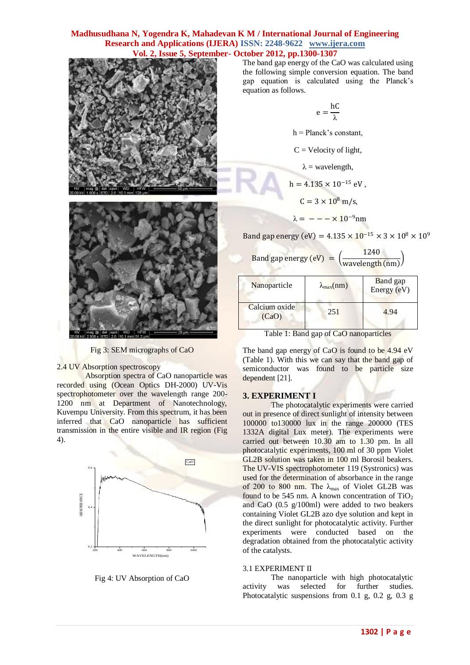



Fig 3: SEM micrographs of CaO

## 2.4 UV Absorption spectroscopy

Absorption spectra of CaO nanoparticle was recorded using (Ocean Optics DH-2000) UV-Vis spectrophotometer over the wavelength range 200- 1200 nm at Department of Nanotechnology, Kuvempu University. From this spectrum, it has been inferred that CaO nanoparticle has sufficient transmission in the entire visible and IR region (Fig 4).



Fig 4: UV Absorption of CaO

The band gap energy of the CaO was calculated using the following simple conversion equation. The band gap equation is calculated using the Planck's equation as follows.

$$
e=\frac{hC}{\lambda}
$$

 $h =$ Planck's constant,

 $C =$  Velocity of light,

 $\lambda$  = wavelength,

 $h = 4.135 \times 10^{-15}$  eV.  $C = 3 \times 10^8 \text{ m/s},$ 

$$
\lambda = - - \times 10^{-9} \text{nm}
$$

Band gap energy (eV) =  $4.135 \times 10^{-15} \times 3 \times 10^8 \times 10^9$ 

| Band gap energy $(eV) =$ |  | 1240                                                                 |
|--------------------------|--|----------------------------------------------------------------------|
|                          |  | $\left(\frac{\text{wavelength (nm)}}{\text{wavelength (nm)}}\right)$ |

| Nanoparticle           | $\lambda_{\max}(nm)$ | <b>Band</b> gap<br>Energy (eV) |
|------------------------|----------------------|--------------------------------|
| Calcium oxide<br>(CaO) | 251                  | 4.94                           |

Table 1: Band gap of CaO nanoparticles

The band gap energy of CaO is found to be 4.94 eV (Table 1). With this we can say that the band gap of semiconductor was found to be particle size dependent [21].

## **3. EXPERIMENT I**

The photocatalytic experiments were carried out in presence of direct sunlight of intensity between 100000 to130000 lux in the range 200000 (TES 1332A digital Lux meter). The experiments were carried out between 10.30 am to 1.30 pm. In all photocatalytic experiments, 100 ml of 30 ppm Violet GL2B solution was taken in 100 ml Borosil beakers. The UV-VIS spectrophotometer 119 (Systronics) was used for the determination of absorbance in the range of 200 to 800 nm. The  $\lambda_{\text{max}}$  of Violet GL2B was found to be 545 nm. A known concentration of  $TiO<sub>2</sub>$ and CaO (0.5 g/100ml) were added to two beakers containing Violet GL2B azo dye solution and kept in the direct sunlight for photocatalytic activity. Further experiments were conducted based on the degradation obtained from the photocatalytic activity of the catalysts.

#### 3.1 EXPERIMENT II

The nanoparticle with high photocatalytic activity was selected for further studies. Photocatalytic suspensions from 0.1 g, 0.2 g, 0.3 g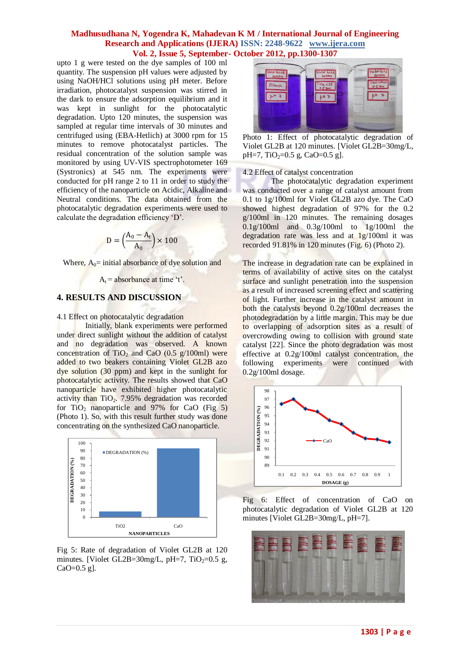upto 1 g were tested on the dye samples of 100 ml quantity. The suspension pH values were adjusted by using NaOH/HCl solutions using pH meter. Before irradiation, photocatalyst suspension was stirred in the dark to ensure the adsorption equilibrium and it was kept in sunlight for the photocatalytic degradation. Upto 120 minutes, the suspension was sampled at regular time intervals of 30 minutes and centrifuged using (EBA-Hetlich) at 3000 rpm for 15 minutes to remove photocatalyst particles. The residual concentration of the solution sample was monitored by using UV-VIS spectrophotometer 169 (Systronics) at 545 nm. The experiments were conducted for pH range 2 to 11 in order to study the efficiency of the nanoparticle on Acidic, Alkaline and Neutral conditions. The data obtained from the photocatalytic degradation experiments were used to calculate the degradation efficiency 'D'.

$$
D = \left(\frac{A_0 - A_t}{A_0}\right) \times 100
$$

Where,  $A_0$ = initial absorbance of dye solution and

 $A_t$  = absorbance at time 't'.

## **4. RESULTS AND DISCUSSION**

4.1 Effect on photocatalytic degradation

Initially, blank experiments were performed under direct sunlight without the addition of catalyst and no degradation was observed. A known concentration of TiO<sub>2</sub> and CaO (0.5  $g/100$ ml) were added to two beakers containing Violet GL2B azo dye solution (30 ppm) and kept in the sunlight for photocatalytic activity. The results showed that CaO nanoparticle have exhibited higher photocatalytic activity than  $TiO<sub>2</sub>$ . 7.95% degradation was recorded for TiO<sub>2</sub> nanoparticle and  $97\%$  for CaO (Fig 5) (Photo 1). So, with this result further study was done concentrating on the synthesized CaO nanoparticle.



Fig 5: Rate of degradation of Violet GL2B at 120 minutes. [Violet GL2B=30mg/L,  $pH=7$ , TiO<sub>2</sub>=0.5 g,  $CaO=0.5$  g].



Photo 1: Effect of photocatalytic degradation of Violet GL2B at 120 minutes. [Violet GL2B=30mg/L, pH=7,  $TiO<sub>2</sub>=0.5$  g,  $CaO=0.5$  g].

4.2 Effect of catalyst concentration

The photocatalytic degradation experiment was conducted over a range of catalyst amount from 0.1 to 1g/100ml for Violet GL2B azo dye. The CaO showed highest degradation of 97% for the 0.2 g/100ml in 120 minutes. The remaining dosages 0.1g/100ml and 0.3g/100ml to 1g/100ml the degradation rate was less and at 1g/100ml it was recorded 91.81% in 120 minutes (Fig. 6) (Photo 2).

The increase in degradation rate can be explained in terms of availability of active sites on the catalyst surface and sunlight penetration into the suspension as a result of increased screening effect and scattering of light. Further increase in the catalyst amount in both the catalysts beyond 0.2g/100ml decreases the photodegradation by a little margin. This may be due to overlapping of adsorption sites as a result of overcrowding owing to collision with ground state catalyst [22]. Since the photo degradation was most effective at 0.2g/100ml catalyst concentration, the following experiments were continued with 0.2g/100ml dosage.



Fig 6: Effect of concentration of CaO on photocatalytic degradation of Violet GL2B at 120 minutes [Violet GL2B=30mg/L, pH=7].

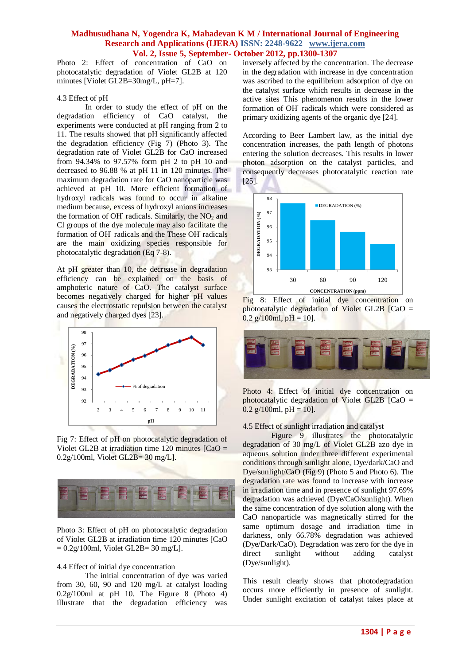Photo 2: Effect of concentration of CaO on photocatalytic degradation of Violet GL2B at 120 minutes [Violet GL2B=30mg/L, pH=7].

#### 4.3 Effect of pH

In order to study the effect of pH on the degradation efficiency of CaO catalyst, the experiments were conducted at pH ranging from 2 to 11. The results showed that pH significantly affected the degradation efficiency (Fig 7) (Photo 3). The degradation rate of Violet GL2B for CaO increased from 94.34% to 97.57% form pH 2 to pH 10 and decreased to 96.88 % at pH 11 in 120 minutes. The maximum degradation rate for CaO nanoparticle was achieved at pH 10. More efficient formation of hydroxyl radicals was found to occur in alkaline medium because, excess of hydroxyl anions increases the formation of OH<sup>'</sup> radicals. Similarly, the NO<sub>2</sub> and Cl groups of the dye molecule may also facilitate the formation of OH<sup>·</sup> radicals and the These OH<sup>·</sup> radicals are the main oxidizing species responsible for photocatalytic degradation (Eq 7-8).

At pH greater than 10, the decrease in degradation efficiency can be explained on the basis of amphoteric nature of CaO. The catalyst surface becomes negatively charged for higher pH values causes the electrostatic repulsion between the catalyst and negatively charged dyes [23].



Fig 7: Effect of pH on photocatalytic degradation of Violet GL2B at irradiation time 120 minutes [CaO = 0.2g/100ml, Violet GL2B= 30 mg/L].



Photo 3: Effect of pH on photocatalytic degradation of Violet GL2B at irradiation time 120 minutes [CaO  $= 0.2g/100$ ml, Violet GL2B= 30 mg/L].

## 4.4 Effect of initial dye concentration

The initial concentration of dye was varied from 30, 60, 90 and 120 mg/L at catalyst loading  $0.2g/100ml$  at pH 10. The Figure 8 (Photo 4) illustrate that the degradation efficiency was inversely affected by the concentration. The decrease in the degradation with increase in dye concentration was ascribed to the equilibrium adsorption of dye on the catalyst surface which results in decrease in the active sites This phenomenon results in the lower formation of OH**·** radicals which were considered as primary oxidizing agents of the organic dye [24].

According to Beer Lambert law, as the initial dye concentration increases, the path length of photons entering the solution decreases. This results in lower photon adsorption on the catalyst particles, and consequently decreases photocatalytic reaction rate [25].







Photo 4: Effect of initial dye concentration on photocatalytic degradation of Violet GL2B [CaO =  $0.2$  g/100ml, pH = 10].

#### 4.5 Effect of sunlight irradiation and catalyst

Figure 9 illustrates the photocatalytic degradation of 30 mg/L of Violet GL2B azo dye in aqueous solution under three different experimental conditions through sunlight alone, Dye/dark/CaO and Dye/sunlight/CaO (Fig 9) (Photo 5 and Photo 6). The degradation rate was found to increase with increase in irradiation time and in presence of sunlight 97.69% degradation was achieved (Dye/CaO/sunlight). When the same concentration of dye solution along with the CaO nanoparticle was magnetically stirred for the same optimum dosage and irradiation time in darkness, only 66.78% degradation was achieved (Dye/Dark/CaO). Degradation was zero for the dye in direct sunlight without adding catalyst (Dye/sunlight).

This result clearly shows that photodegradation occurs more efficiently in presence of sunlight. Under sunlight excitation of catalyst takes place at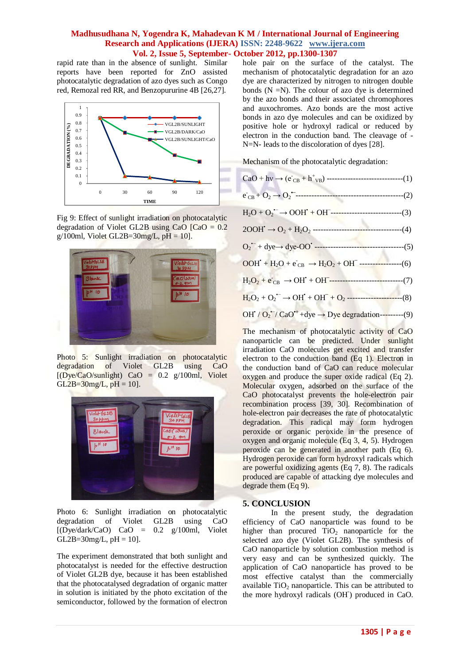rapid rate than in the absence of sunlight. Similar reports have been reported for ZnO assisted photocatalytic degradation of azo dyes such as Congo red, Remozal red RR, and Benzopururine 4B [26,27].



Fig 9: Effect of sunlight irradiation on photocatalytic degradation of Violet GL2B using CaO  $[CaO = 0.2]$ g/100ml, Violet GL2B=30mg/L,  $pH = 10$ .



Photo 5: Sunlight irradiation on photocatalytic degradation of Violet GL2B using CaO [(Dye/CaO/sunlight) CaO = 0.2 g/100ml, Violet  $GL2B=30mg/L$ ,  $pH = 10$ .



Photo 6: Sunlight irradiation on photocatalytic degradation of Violet GL2B using CaO [(Dye/dark/CaO) CaO = 0.2 g/100ml, Violet  $GL2B = 30mg/L$ , pH = 10].

The experiment demonstrated that both sunlight and photocatalyst is needed for the effective destruction of Violet GL2B dye, because it has been established that the photocatalysed degradation of organic matter in solution is initiated by the photo excitation of the semiconductor, followed by the formation of electron

hole pair on the surface of the catalyst. The mechanism of photocatalytic degradation for an azo dye are characterized by nitrogen to nitrogen double bonds  $(N = N)$ . The colour of azo dye is determined by the azo bonds and their associated chromophores and auxochromes. Azo bonds are the most active bonds in azo dye molecules and can be oxidized by positive hole or hydroxyl radical or reduced by electron in the conduction band. The cleavage of - N=N- leads to the discoloration of dyes [28].

Mechanism of the photocatalytic degradation:

| $H_2O + O_2$ <sup>--</sup> $\rightarrow$ OOH <sup>+</sup> + OH <sup>-</sup> ------------------------------(3)            |
|--------------------------------------------------------------------------------------------------------------------------|
|                                                                                                                          |
|                                                                                                                          |
| $OOH+ + H2O + eCB \rightarrow H2O2 + OH-$ ----------------(6)                                                            |
| $H_2O_2 + e_{CB} \rightarrow OH^* + OH^-$ --------------------------------(7)                                            |
| $H_2O_2 + O_2$ <sup>--</sup> $\rightarrow$ OH <sup>+</sup> + OH <sup>-</sup> + O <sub>2</sub> -----------------------(8) |
| OH' / $O_2$ <sup>--</sup> / CaO <sup>++</sup> +dye $\rightarrow$ Dye degradation----------(9)                            |

The mechanism of photocatalytic activity of CaO nanoparticle can be predicted. Under sunlight irradiation CaO molecules get excited and transfer electron to the conduction band (Eq 1). Electron in the conduction band of CaO can reduce molecular oxygen and produce the super oxide radical (Eq 2). Molecular oxygen, adsorbed on the surface of the CaO photocatalyst prevents the hole-electron pair recombination process [39, 30]. Recombination of hole-electron pair decreases the rate of photocatalytic degradation. This radical may form hydrogen peroxide or organic peroxide in the presence of oxygen and organic molecule (Eq 3, 4, 5). Hydrogen peroxide can be generated in another path (Eq 6). Hydrogen peroxide can form hydroxyl radicals which are powerful oxidizing agents (Eq 7, 8). The radicals produced are capable of attacking dye molecules and degrade them (Eq 9).

# **5. CONCLUSION**

In the present study, the degradation efficiency of CaO nanoparticle was found to be higher than procured  $TiO<sub>2</sub>$  nanoparticle for the selected azo dye (Violet GL2B). The synthesis of CaO nanoparticle by solution combustion method is very easy and can be synthesized quickly. The application of CaO nanoparticle has proved to be most effective catalyst than the commercially available  $TiO<sub>2</sub>$  nanoparticle. This can be attributed to the more hydroxyl radicals (OH**·** ) produced in CaO.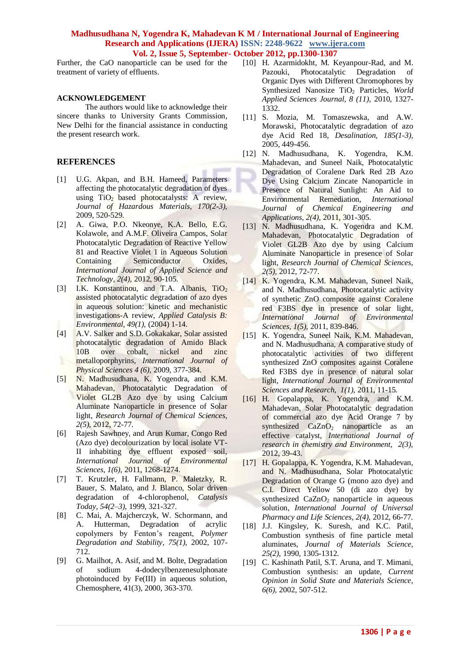Further, the CaO nanoparticle can be used for the treatment of variety of effluents.

#### **ACKNOWLEDGEMENT**

The authors would like to acknowledge their sincere thanks to University Grants Commission, New Delhi for the financial assistance in conducting the present research work.

## **REFERENCES**

- [1] U.G. Akpan, and B.H. Hameed, Parameters affecting the photocatalytic degradation of dyes using  $TiO<sub>2</sub>$  based photocatalysts: A review, *Journal of Hazardous Materials, 170(2-3),* 2009, 520-529.
- [2] A. Giwa, P.O. Nkeonye, K.A. Bello, E.G. Kolawole, and A.M.F. Oliveira Campos, Solar Photocatalytic Degradation of Reactive Yellow 81 and Reactive Violet 1 in Aqueous Solution Containing Semiconductor Oxides, *International Journal of Applied Science and Technology, 2(4),* 2012, 90-105.
- [3] I.K. Konstantinou, and T.A. Albanis,  $TiO<sub>2</sub>$ assisted photocatalytic degradation of azo dyes in aqueous solution: kinetic and mechanistic investigations-A review, *Applied Catalysis B: Environmental, 49(1),* (2004) 1-14.
- [4] A.V. Salker and S.D. Gokakakar, Solar assisted photocatalytic degradation of Amido Black 10B over cobalt, nickel and zinc metalloporphyrins, *International Journal of Physical Sciences 4 (6),* 2009, 377-384.
- [5] N. Madhusudhana, K. Yogendra, and K.M. Mahadevan, Photocatalytic Degradation of Violet GL2B Azo dye by using Calcium Aluminate Nanoparticle in presence of Solar light, *Research Journal of Chemical Sciences, 2(5),* 2012, 72-77.
- [6] Rajesh Sawhney, and Arun Kumar, Congo Red (Azo dye) decolourization by local isolate VT-II inhabiting dye effluent exposed soil, *International Journal of Environmental Sciences, 1(6),* 2011, 1268-1274.
- [7] T. Krutzler, H. Fallmann, P. Maletzky, R. Bauer, S. Malato, and J. Blanco, Solar driven degradation of 4-chlorophenol, *Catalysis Today, 54(2–3),* 1999, 321-327.
- [8] C. Mai, A. Majcherczyk, W. Schormann, and A. Hutterman, Degradation of acrylic copolymers by Fenton's reagent, *Polymer Degradation and Stability, 75(1),* 2002, 107- 712.
- [9] G. Mailhot, A. Asif, and M. Bolte, Degradation of sodium 4-dodecylbenzenesulphonate photoinduced by Fe(III) in aqueous solution, Chemosphere, 41(3), 2000, 363-370.
- [10] H. Azarmidokht, M. Keyanpour-Rad, and M. Pazouki, Photocatalytic Degradation of Organic Dyes with Different Chromophores by Synthesized Nanosize TiO<sub>2</sub> Particles, *World Applied Sciences Journal, 8 (11),* 2010, 1327- 1332.
- [11] S. Mozia, M. Tomaszewska, and A.W. Morawski, Photocatalytic degradation of azo dye Acid Red 18, *Desalination, 185(1-3),* 2005, 449-456.
- [12] N. Madhusudhana, K. Yogendra, K.M. Mahadevan, and Suneel Naik, Photocatalytic Degradation of Coralene Dark Red 2B Azo Dye Using Calcium Zincate Nanoparticle in Presence of Natural Sunlight: An Aid to Environmental Remediation, *International Journal of Chemical Engineering and Applications, 2(4),* 2011, 301-305.
- [13] N. Madhusudhana, K. Yogendra and K.M. Mahadevan, Photocatalytic Degradation of Violet GL2B Azo dye by using Calcium Aluminate Nanoparticle in presence of Solar light, *Research Journal of Chemical Sciences, 2(5),* 2012, 72-77.
- [14] K. Yogendra, K.M. Mahadevan, Suneel Naik, and N. Madhusudhana, Photocatalytic activity of synthetic ZnO composite against Coralene red F3BS dye in presence of solar light, *International Journal of Environmental Sciences, 1(5),* 2011, 839-846.
- [15] K. Yogendra, Suneel Naik, K.M. Mahadevan, and N. Madhusudhana, A comparative study of photocatalytic activities of two different synthesized ZnO composites against Coralene Red F3BS dye in presence of natural solar light, *International Journal of Environmental Sciences and Research, 1(1),* 2011, 11-15.
- [16] H. Gopalappa, K. Yogendra, and K.M. Mahadevan, Solar Photocatalytic degradation of commercial azo dye Acid Orange 7 by synthesized  $CaZnO<sub>2</sub>$  nanoparticle as an effective catalyst, *International Journal of research in chemistry and Environment, 2(3),* 2012, 39-43.
- [17] H. Gopalappa, K. Yogendra, K.M. Mahadevan, and N. Madhusudhana, Solar Photocatalytic Degradation of Orange G (mono azo dye) and C.I. Direct Yellow 50 (di azo dye) by synthesized  $CaZnO<sub>2</sub>$  nanoparticle in aqueous solution, *International Journal of Universal Pharmacy and Life Sciences, 2(4),* 2012, 66-77.
- [18] J.J. Kingsley, K. Suresh, and K.C. Patil, Combustion synthesis of fine particle metal aluminates, *Journal of Materials Science, 25(2),* 1990, 1305-1312.
- [19] C. Kashinath Patil, S.T. Aruna, and T. Mimani, Combustion synthesis: an update, *Current Opinion in Solid State and Materials Science, 6(6),* 2002, 507-512.